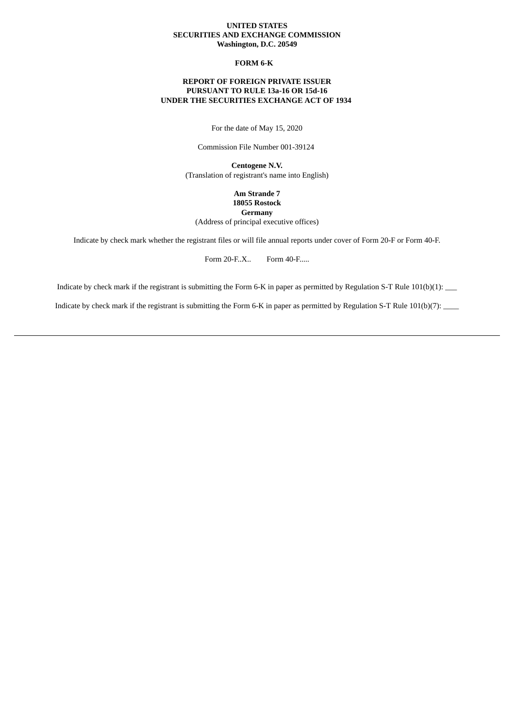### **UNITED STATES SECURITIES AND EXCHANGE COMMISSION Washington, D.C. 20549**

# **FORM 6-K**

# **REPORT OF FOREIGN PRIVATE ISSUER PURSUANT TO RULE 13a-16 OR 15d-16 UNDER THE SECURITIES EXCHANGE ACT OF 1934**

For the date of May 15, 2020

Commission File Number 001-39124

**Centogene N.V.** (Translation of registrant's name into English)

> **Am Strande 7 18055 Rostock Germany**

(Address of principal executive offices)

Indicate by check mark whether the registrant files or will file annual reports under cover of Form 20-F or Form 40-F.

Form 20-F..X.. Form 40-F.....

Indicate by check mark if the registrant is submitting the Form 6-K in paper as permitted by Regulation S-T Rule 101(b)(1): \_\_\_

Indicate by check mark if the registrant is submitting the Form 6-K in paper as permitted by Regulation S-T Rule 101(b)(7): \_\_\_\_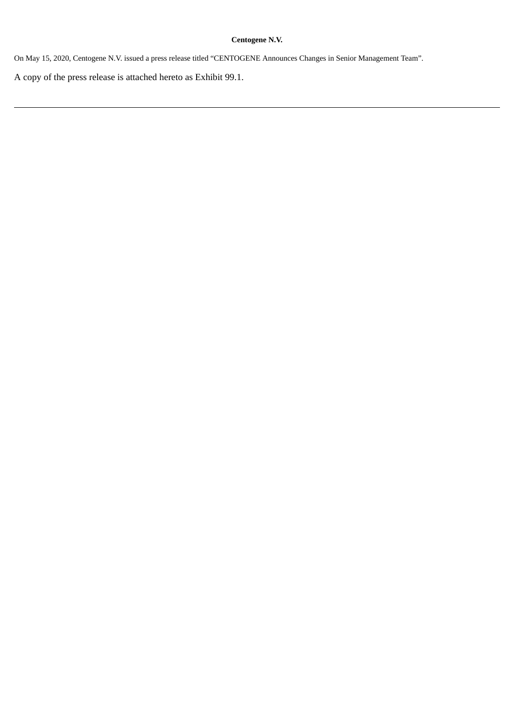# **Centogene N.V.**

On May 15, 2020, Centogene N.V. issued a press release titled "CENTOGENE Announces Changes in Senior Management Team".

A copy of the press release is attached hereto as Exhibit 99.1.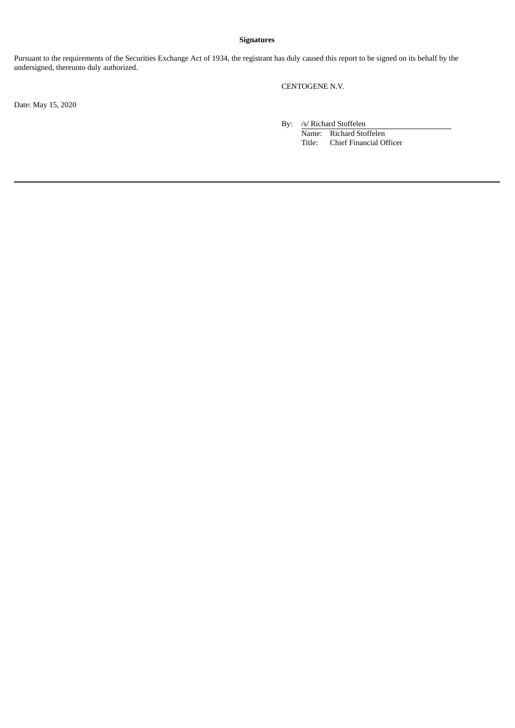# **Signatures**

Pursuant to the requirements of the Securities Exchange Act of 1934, the registrant has duly caused this report to be signed on its behalf by the undersigned, thereunto duly authorized.

CENTOGENE N.V.

Date: May 15, 2020

By: /s/ Richard Stoffelen

Name: Richard Stoffelen Title: Chief Financial Officer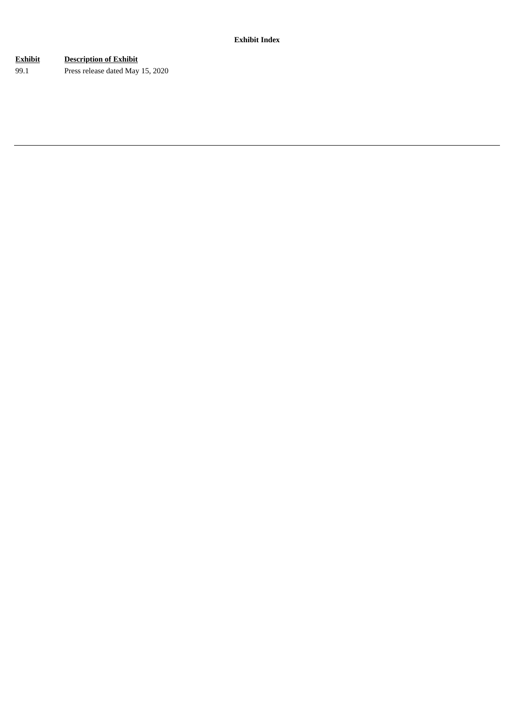# **Exhibit Description of Exhibit**

99.1 Press release dated May 15, 2020